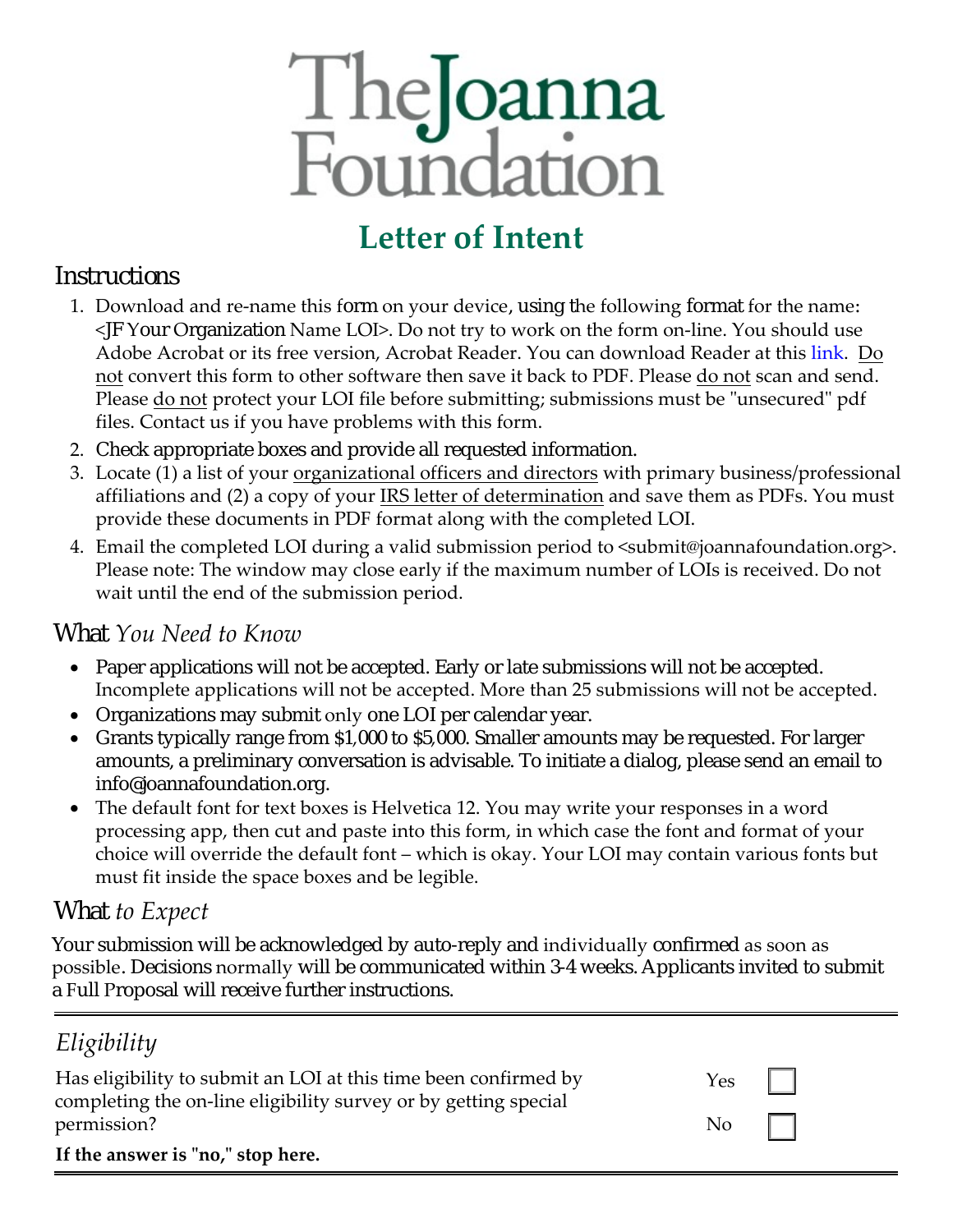# TheJoanna<br>Foundation

# **Letter of Intent**

### *Instructions*

- 1. Download and re-name this form on your device, using the following format for the name: <JF Your Organization Name LOI>. Do not try to work on the form on-line. You should use Adobe Acrobat or its free version, Acrobat Reader. You can download Reader at thi[s link](https://helpx.adobe.com/in/reader/get-started.html). Do not convert this form to other software then save it back to PDF. Please do not scan and send. Please do not protect your LOI file before submitting; submissions must be "unsecured" pdf files. Contact us if you have problems with this form.
- 2. Check appropriate boxes and provide all requested information.
- 3. Locate (1) a list of your organizational officers and directors with primary business/professional affiliations and (2) a copy of your IRS letter of determination and save them as PDFs. You must provide these documents in PDF format along with the completed LOI.
- 4. Email the completed LOI during a valid submission period to <submit@joannafoundation.org>. Please note: The window may close early if the maximum number of LOIs is received. Do not wait until the end of the submission period.

### *What You Need to Know*

- Paper applications will not be accepted. Early or late submissions will not be accepted. Incomplete applications will not be accepted. More than 25 submissions will not be accepted.
- Organizations may submit only one LOI per calendar year.
- Grants typically range from \$1,000 to \$5,000. Smaller amounts may be requested. For larger amounts, a preliminary conversation is advisable. To initiate a dialog, please send an email to info@joannafoundation.org.
- The default font for text boxes is Helvetica 12. You may write your responses in a word processing app, then cut and paste into this form, in which case the font and format of your choice will override the default font – which is okay. Your LOI may contain various fonts but must fit inside the space boxes and be legible.

### *What to Expect*

Your submission will be acknowledged by auto-reply and individually confirmed as soon as possible. Decisions normally will be communicated within 3-4 weeks. Applicants invited to submit a Full Proposal will receive further instructions.

## *Eligibility*

| Has eligibility to submit an LOI at this time been confirmed by<br>completing the on-line eligibility survey or by getting special | $Yes \mid \mid$                                       |  |
|------------------------------------------------------------------------------------------------------------------------------------|-------------------------------------------------------|--|
| permission?                                                                                                                        | $\begin{array}{c c} \text{No} & \text{ } \end{array}$ |  |
| If the answer is "no," stop here.                                                                                                  |                                                       |  |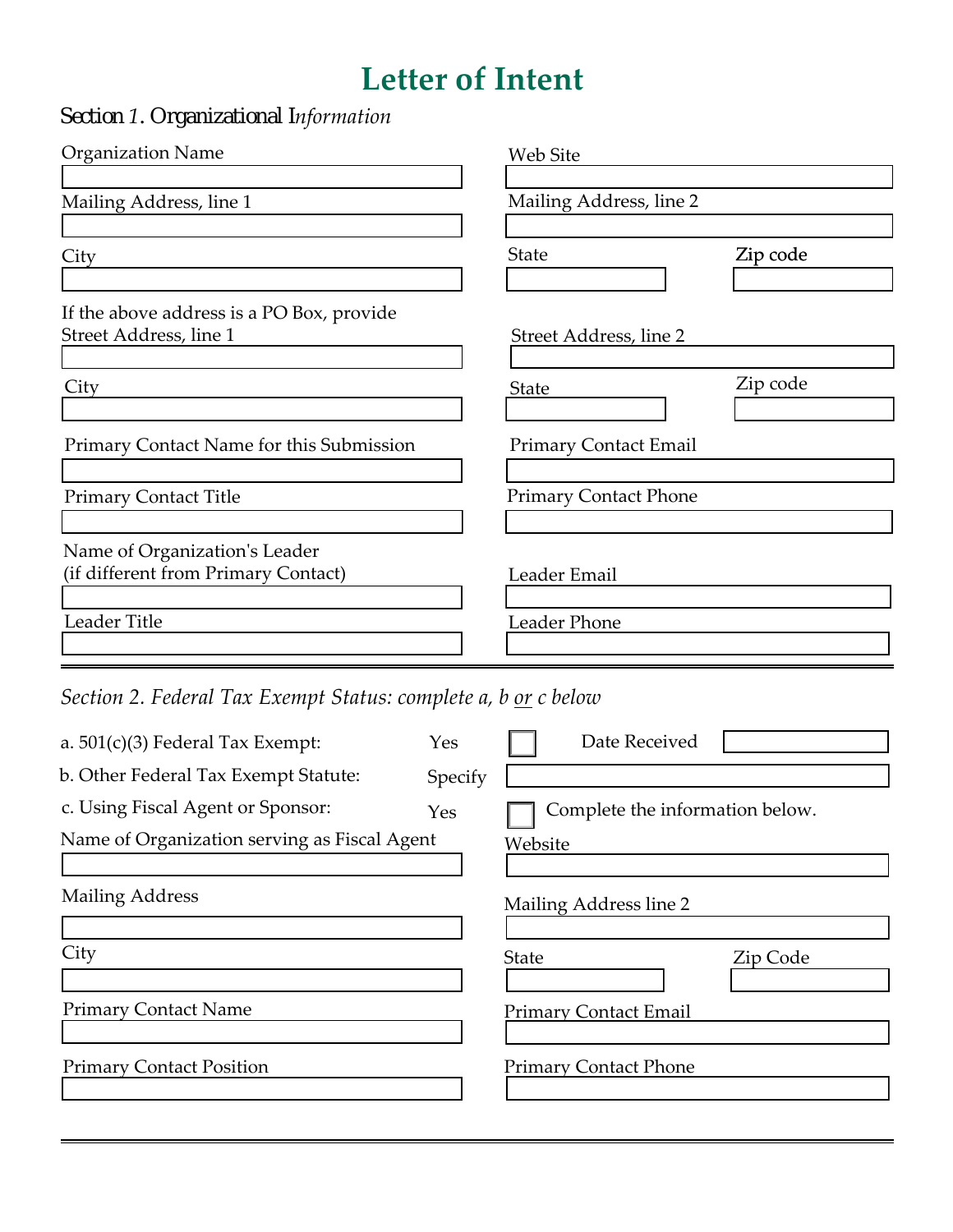# **Letter of Intent**

*Section 1. Organizational Information*

| <b>Organization Name</b>                                                             | Web Site                               |
|--------------------------------------------------------------------------------------|----------------------------------------|
| Mailing Address, line 1                                                              | Mailing Address, line 2                |
| City                                                                                 | <b>State</b><br>Zip code               |
| If the above address is a PO Box, provide<br>Street Address, line 1                  | Street Address, line 2                 |
| City                                                                                 | Zip code<br><b>State</b>               |
| Primary Contact Name for this Submission                                             | <b>Primary Contact Email</b>           |
| <b>Primary Contact Title</b>                                                         | <b>Primary Contact Phone</b>           |
| Name of Organization's Leader<br>(if different from Primary Contact)<br>Leader Title | Leader Email<br>Leader Phone           |
| Section 2. Federal Tax Exempt Status: complete a, b <u>or</u> c below                |                                        |
| a. $501(c)(3)$ Federal Tax Exempt:<br>b. Other Federal Tax Exempt Statute:           | Date Received<br>Yes<br>Specify        |
| c. Using Fiscal Agent or Sponsor:                                                    | Complete the information below.<br>Yes |
| Name of Organization serving as Fiscal Agent                                         | Website                                |

Mailing Address

**City** 

Primary Contact Name

Primary Contact Position

| Mailing Address line 2 |  |
|------------------------|--|

State

Zip Code

Primary Contact Email

Primary Contact Phone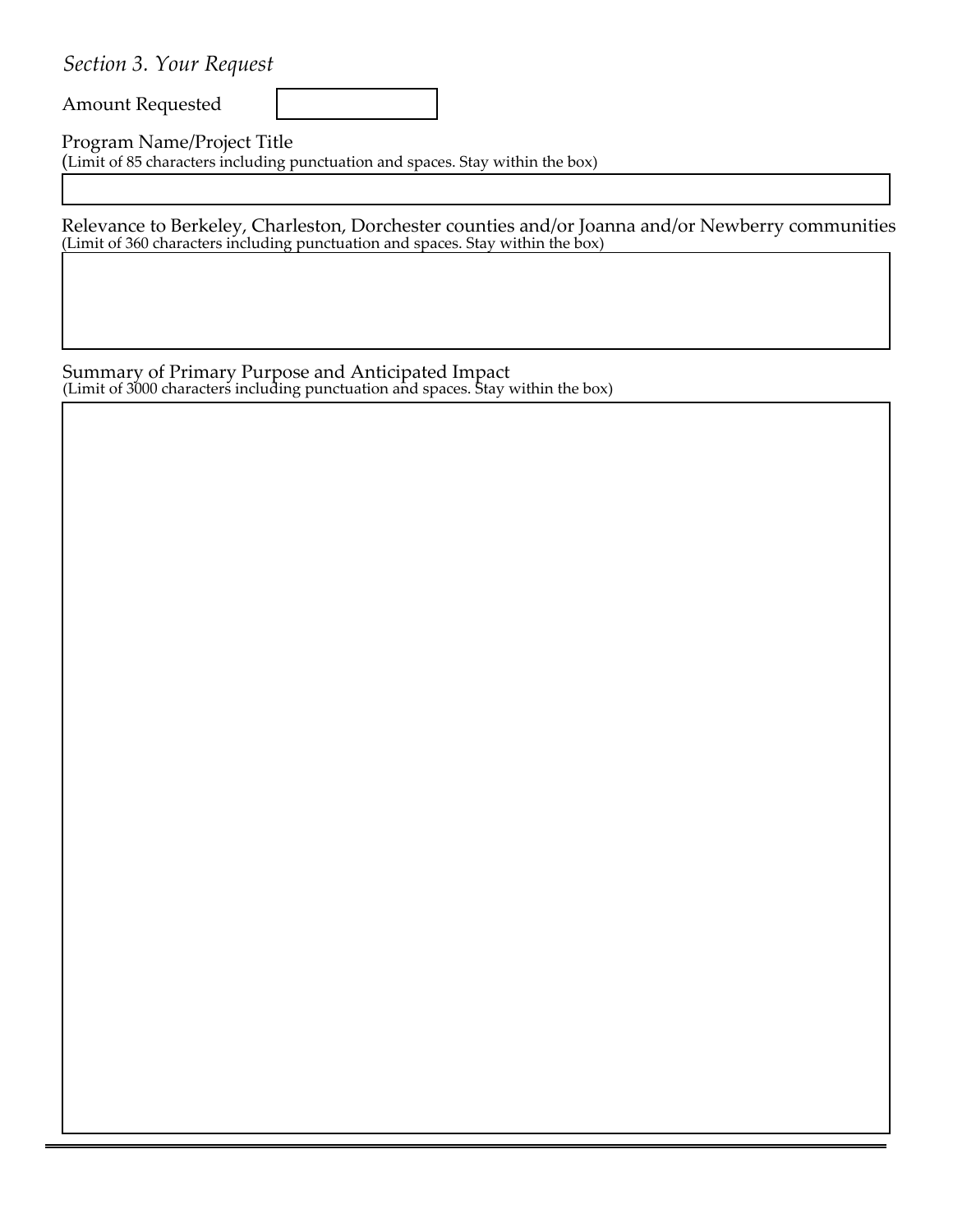*Section 3. Your Request*

Amount Requested

Program Name/Project Title (Limit of 85 characters including punctuation and spaces. Stay within the box)

Relevance to Berkeley, Charleston, Dorchester counties and/or Joanna and/or Newberry communities (Limit of 360 characters including punctuation and spaces. Stay within the box)

Summary of Primary Purpose and Anticipated Impact (Limit of 3000 characters including punctuation and spaces. Stay within the box)